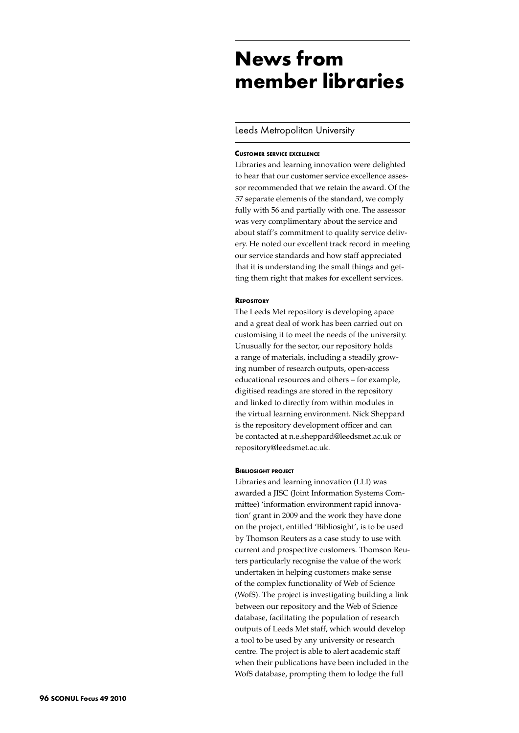# **News from member libraries**

## Leeds Metropolitan University

#### **Customer service excellence**

Libraries and learning innovation were delighted to hear that our customer service excellence assessor recommended that we retain the award. Of the 57 separate elements of the standard, we comply fully with 56 and partially with one. The assessor was very complimentary about the service and about staff's commitment to quality service delivery. He noted our excellent track record in meeting our service standards and how staff appreciated that it is understanding the small things and getting them right that makes for excellent services.

#### **Repository**

The Leeds Met repository is developing apace and a great deal of work has been carried out on customising it to meet the needs of the university. Unusually for the sector, our repository holds a range of materials, including a steadily growing number of research outputs, open-access educational resources and others – for example, digitised readings are stored in the repository and linked to directly from within modules in the virtual learning environment. Nick Sheppard is the repository development officer and can be contacted at n.e.sheppard@leedsmet.ac.uk or repository@leedsmet.ac.uk.

#### **Bibliosight project**

Libraries and learning innovation (LLI) was awarded a JISC (Joint Information Systems Committee) 'information environment rapid innovation' grant in 2009 and the work they have done on the project, entitled 'Bibliosight', is to be used by Thomson Reuters as a case study to use with current and prospective customers. Thomson Reuters particularly recognise the value of the work undertaken in helping customers make sense of the complex functionality of Web of Science (WofS). The project is investigating building a link between our repository and the Web of Science database, facilitating the population of research outputs of Leeds Met staff, which would develop a tool to be used by any university or research centre. The project is able to alert academic staff when their publications have been included in the WofS database, prompting them to lodge the full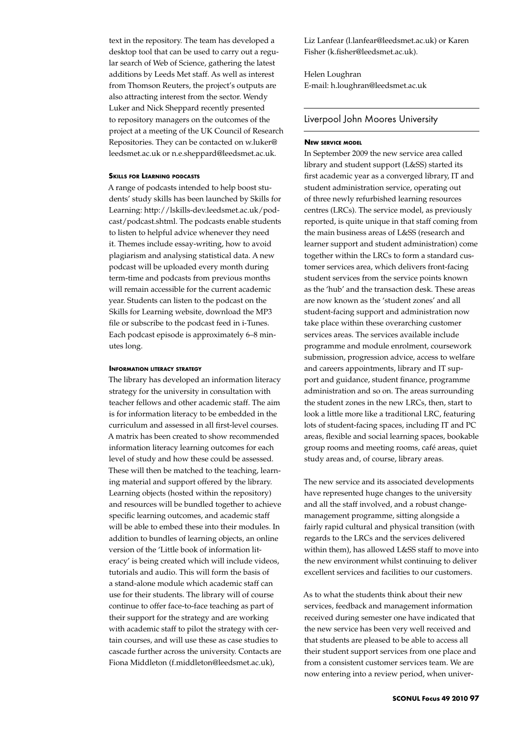text in the repository. The team has developed a desktop tool that can be used to carry out a regular search of Web of Science, gathering the latest additions by Leeds Met staff. As well as interest from Thomson Reuters, the project's outputs are also attracting interest from the sector. Wendy Luker and Nick Sheppard recently presented to repository managers on the outcomes of the project at a meeting of the UK Council of Research Repositories. They can be contacted on w.luker@ leedsmet.ac.uk or n.e.sheppard@leedsmet.ac.uk.

#### **Skills for Learning podcasts**

A range of podcasts intended to help boost students' study skills has been launched by Skills for Learning: http://lskills-dev.leedsmet.ac.uk/podcast/podcast.shtml. The podcasts enable students to listen to helpful advice whenever they need it. Themes include essay-writing, how to avoid plagiarism and analysing statistical data. A new podcast will be uploaded every month during term-time and podcasts from previous months will remain accessible for the current academic year. Students can listen to the podcast on the Skills for Learning website, download the MP3 file or subscribe to the podcast feed in i-Tunes. Each podcast episode is approximately 6–8 minutes long.

#### **Information literacy strategy**

The library has developed an information literacy strategy for the university in consultation with teacher fellows and other academic staff. The aim is for information literacy to be embedded in the curriculum and assessed in all first-level courses. A matrix has been created to show recommended information literacy learning outcomes for each level of study and how these could be assessed. These will then be matched to the teaching, learning material and support offered by the library. Learning objects (hosted within the repository) and resources will be bundled together to achieve specific learning outcomes, and academic staff will be able to embed these into their modules. In addition to bundles of learning objects, an online version of the 'Little book of information literacy' is being created which will include videos, tutorials and audio. This will form the basis of a stand-alone module which academic staff can use for their students. The library will of course continue to offer face-to-face teaching as part of their support for the strategy and are working with academic staff to pilot the strategy with certain courses, and will use these as case studies to cascade further across the university. Contacts are Fiona Middleton (f.middleton@leedsmet.ac.uk),

Liz Lanfear (l.lanfear@leedsmet.ac.uk) or Karen Fisher (k.fisher@leedsmet.ac.uk).

Helen Loughran E-mail: h.loughran@leedsmet.ac.uk

## Liverpool John Moores University

#### **New service model**

In September 2009 the new service area called library and student support (L&SS) started its first academic year as a converged library, IT and student administration service, operating out of three newly refurbished learning resources centres (LRCs). The service model, as previously reported, is quite unique in that staff coming from the main business areas of L&SS (research and learner support and student administration) come together within the LRCs to form a standard customer services area, which delivers front-facing student services from the service points known as the 'hub' and the transaction desk. These areas are now known as the 'student zones' and all student-facing support and administration now take place within these overarching customer services areas. The services available include programme and module enrolment, coursework submission, progression advice, access to welfare and careers appointments, library and IT support and guidance, student finance, programme administration and so on. The areas surrounding the student zones in the new LRCs, then, start to look a little more like a traditional LRC, featuring lots of student-facing spaces, including IT and PC areas, flexible and social learning spaces, bookable group rooms and meeting rooms, café areas, quiet study areas and, of course, library areas.

The new service and its associated developments have represented huge changes to the university and all the staff involved, and a robust changemanagement programme, sitting alongside a fairly rapid cultural and physical transition (with regards to the LRCs and the services delivered within them), has allowed L&SS staff to move into the new environment whilst continuing to deliver excellent services and facilities to our customers.

As to what the students think about their new services, feedback and management information received during semester one have indicated that the new service has been very well received and that students are pleased to be able to access all their student support services from one place and from a consistent customer services team. We are now entering into a review period, when univer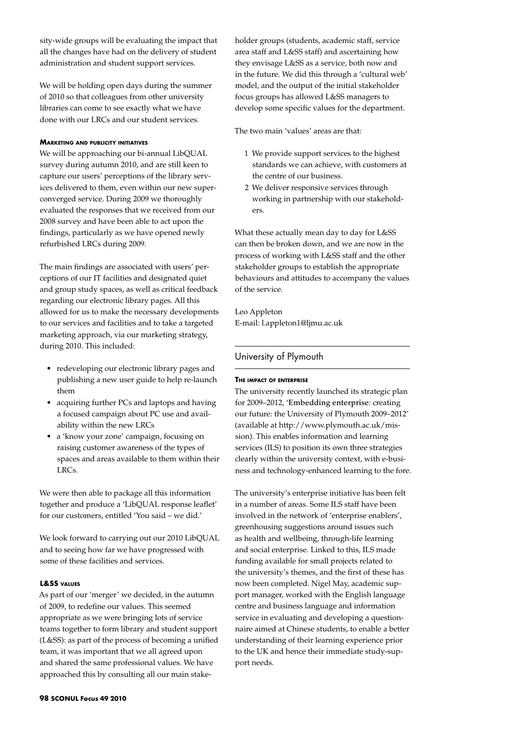sity-wide groups will be evaluating the impact that all the changes have had on the delivery of student administration and student support services.

We will be holding open days during the summer of 2010 so that colleagues from other university libraries can come to see exactly what we have done with our LRCs and our student services.

## **Marketing and publicity initiatives**

We will be approaching our bi-annual LibQUAL survey during autumn 2010, and are still keen to capture our users' perceptions of the library services delivered to them, even within our new superconverged service. During 2009 we thoroughly evaluated the responses that we received from our 2008 survey and have been able to act upon the findings, particularly as we have opened newly refurbished LRCs during 2009.

The main findings are associated with users' perceptions of our IT facilities and designated quiet and group study spaces, as well as critical feedback regarding our electronic library pages. All this allowed for us to make the necessary developments to our services and facilities and to take a targeted marketing approach, via our marketing strategy, during 2010. This included:

- • redeveloping our electronic library pages and publishing a new user guide to help re-launch them
- acquiring further PCs and laptops and having a focused campaign about PC use and availability within the new LRCs
- a 'know your zone' campaign, focusing on raising customer awareness of the types of spaces and areas available to them within their LRCs.

We were then able to package all this information together and produce a 'LibQUAL response leaflet' for our customers, entitled 'You said – we did.'

We look forward to carrying out our 2010 LibQUAL and to seeing how far we have progressed with some of these facilities and services.

#### **L&SS values**

As part of our 'merger' we decided, in the autumn of 2009, to redefine our values. This seemed appropriate as we were bringing lots of service teams together to form library and student support (L&SS): as part of the process of becoming a unified team, it was important that we all agreed upon and shared the same professional values. We have approached this by consulting all our main stakeholder groups (students, academic staff, service area staff and L&SS staff) and ascertaining how they envisage L&SS as a service, both now and in the future. We did this through a 'cultural web' model, and the output of the initial stakeholder focus groups has allowed L&SS managers to develop some specific values for the department.

The two main 'values' areas are that:

- 1 We provide support services to the highest standards we can achieve, with customers at the centre of our business.
- 2 We deliver responsive services through working in partnership with our stakeholders.

What these actually mean day to day for L&SS can then be broken down, and we are now in the process of working with L&SS staff and the other stakeholder groups to establish the appropriate behaviours and attitudes to accompany the values of the service.

Leo Appleton E-mail: l.appleton1@ljmu.ac.uk

# University of Plymouth

## **The impact of enterprise**

The university recently launched its strategic plan for 2009–2012, 'Embedding enterprise: creating our future: the University of Plymouth 2009–2012' (available at http://www.plymouth.ac.uk/mission). This enables information and learning services (ILS) to position its own three strategies clearly within the university context, with e-business and technology-enhanced learning to the fore.

The university's enterprise initiative has been felt in a number of areas. Some ILS staff have been involved in the network of 'enterprise enablers', greenhousing suggestions around issues such as health and wellbeing, through-life learning and social enterprise. Linked to this, ILS made funding available for small projects related to the university's themes, and the first of these has now been completed. Nigel May, academic support manager, worked with the English language centre and business language and information service in evaluating and developing a questionnaire aimed at Chinese students, to enable a better understanding of their learning experience prior to the UK and hence their immediate study-support needs.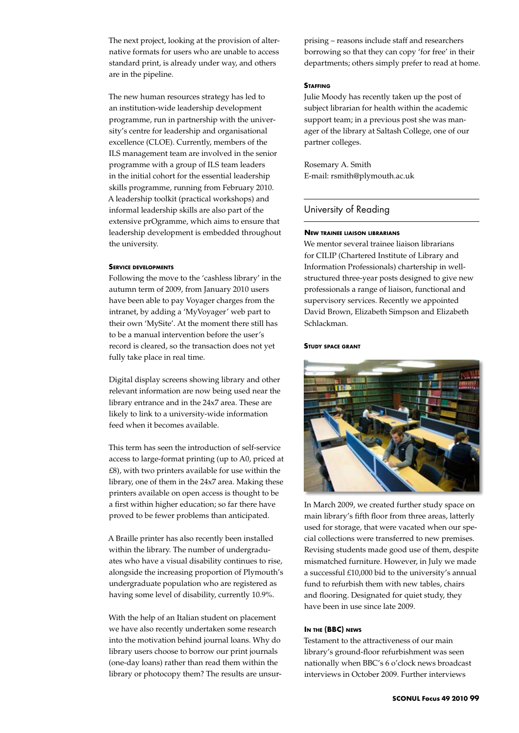The next project, looking at the provision of alternative formats for users who are unable to access standard print, is already under way, and others are in the pipeline.

The new human resources strategy has led to an institution-wide leadership development programme, run in partnership with the university's centre for leadership and organisational excellence (CLOE). Currently, members of the ILS management team are involved in the senior programme with a group of ILS team leaders in the initial cohort for the essential leadership skills programme, running from February 2010. A leadership toolkit (practical workshops) and informal leadership skills are also part of the extensive prOgramme, which aims to ensure that leadership development is embedded throughout the university.

#### **Service developments**

Following the move to the 'cashless library' in the autumn term of 2009, from January 2010 users have been able to pay Voyager charges from the intranet, by adding a 'MyVoyager' web part to their own 'MySite'. At the moment there still has to be a manual intervention before the user's record is cleared, so the transaction does not yet fully take place in real time.

Digital display screens showing library and other relevant information are now being used near the library entrance and in the 24x7 area. These are likely to link to a university-wide information feed when it becomes available.

This term has seen the introduction of self-service access to large-format printing (up to A0, priced at £8), with two printers available for use within the library, one of them in the 24x7 area. Making these printers available on open access is thought to be a first within higher education; so far there have proved to be fewer problems than anticipated.

A Braille printer has also recently been installed within the library. The number of undergraduates who have a visual disability continues to rise, alongside the increasing proportion of Plymouth's undergraduate population who are registered as having some level of disability, currently 10.9%.

With the help of an Italian student on placement we have also recently undertaken some research into the motivation behind journal loans. Why do library users choose to borrow our print journals (one-day loans) rather than read them within the library or photocopy them? The results are unsurprising – reasons include staff and researchers borrowing so that they can copy 'for free' in their departments; others simply prefer to read at home.

#### **STAFFING**

Julie Moody has recently taken up the post of subject librarian for health within the academic support team; in a previous post she was manager of the library at Saltash College, one of our partner colleges.

Rosemary A. Smith E-mail: rsmith@plymouth.ac.uk

#### University of Reading

#### **New trainee liaison librarians**

We mentor several trainee liaison librarians for CILIP (Chartered Institute of Library and Information Professionals) chartership in wellstructured three-year posts designed to give new professionals a range of liaison, functional and supervisory services. Recently we appointed David Brown, Elizabeth Simpson and Elizabeth Schlackman.

#### **Study space grant**



In March 2009, we created further study space on main library's fifth floor from three areas, latterly used for storage, that were vacated when our special collections were transferred to new premises. Revising students made good use of them, despite mismatched furniture. However, in July we made a successful £10,000 bid to the university's annual fund to refurbish them with new tables, chairs and flooring. Designated for quiet study, they have been in use since late 2009.

#### **In the (BBC) news**

Testament to the attractiveness of our main library's ground-floor refurbishment was seen nationally when BBC's 6 o'clock news broadcast interviews in October 2009. Further interviews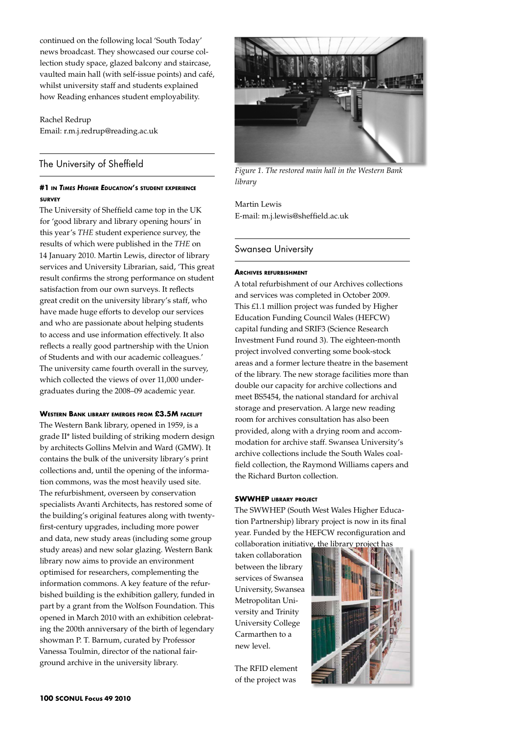continued on the following local 'South Today' news broadcast. They showcased our course collection study space, glazed balcony and staircase, vaulted main hall (with self-issue points) and café, whilst university staff and students explained how Reading enhances student employability.

Rachel Redrup Email: r.m.j.redrup@reading.ac.uk

# The University of Sheffield

# **#1 in** *Times Higher Education***'s student experience survey**

The University of Sheffield came top in the UK for 'good library and library opening hours' in this year's *THE* student experience survey, the results of which were published in the *THE* on 14 January 2010. Martin Lewis, director of library services and University Librarian, said, 'This great result confirms the strong performance on student satisfaction from our own surveys. It reflects great credit on the university library's staff, who have made huge efforts to develop our services and who are passionate about helping students to access and use information effectively. It also reflects a really good partnership with the Union of Students and with our academic colleagues.' The university came fourth overall in the survey, which collected the views of over 11,000 undergraduates during the 2008–09 academic year.

# **Western Bank library emerges from £3.5M facelift**

The Western Bank library, opened in 1959, is a grade II\* listed building of striking modern design by architects Gollins Melvin and Ward (GMW). It contains the bulk of the university library's print collections and, until the opening of the information commons, was the most heavily used site. The refurbishment, overseen by conservation specialists Avanti Architects, has restored some of the building's original features along with twentyfirst-century upgrades, including more power and data, new study areas (including some group study areas) and new solar glazing. Western Bank library now aims to provide an environment optimised for researchers, complementing the information commons. A key feature of the refurbished building is the exhibition gallery, funded in part by a grant from the Wolfson Foundation. This opened in March 2010 with an exhibition celebrating the 200th anniversary of the birth of legendary showman P. T. Barnum, curated by Professor Vanessa Toulmin, director of the national fairground archive in the university library.



*Figure 1. The restored main hall in the Western Bank library*

Martin Lewis E-mail: m.j.lewis@sheffield.ac.uk

# Swansea University

## **Archives refurbishment**

A total refurbishment of our Archives collections and services was completed in October 2009. This £1.1 million project was funded by Higher Education Funding Council Wales (HEFCW) capital funding and SRIF3 (Science Research Investment Fund round 3). The eighteen-month project involved converting some book-stock areas and a former lecture theatre in the basement of the library. The new storage facilities more than double our capacity for archive collections and meet BS5454, the national standard for archival storage and preservation. A large new reading room for archives consultation has also been provided, along with a drying room and accommodation for archive staff. Swansea University's archive collections include the South Wales coalfield collection, the Raymond Williams capers and the Richard Burton collection.

#### **SWWHEP library project**

The SWWHEP (South West Wales Higher Education Partnership) library project is now in its final year. Funded by the HEFCW reconfiguration and collaboration initiative, the library proje

taken collaboration between the library services of Swansea University, Swansea Metropolitan University and Trinity University College Carmarthen to a new level.

The RFID element of the project was